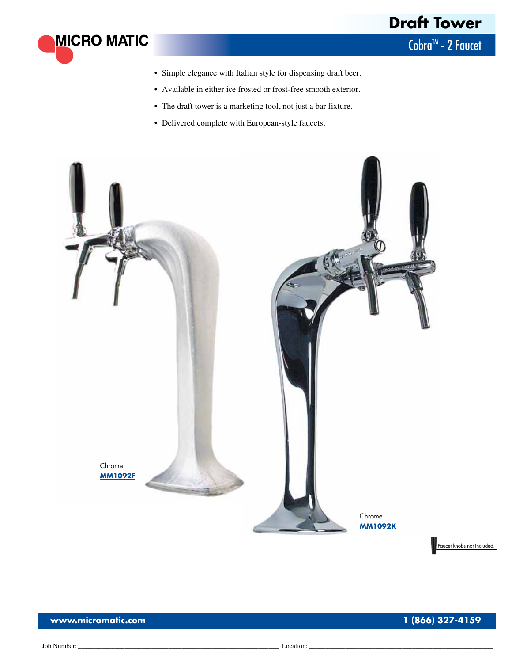

- • Simple elegance with Italian style for dispensing draft beer.
- • Available in either ice frosted or frost-free smooth exterior.
- The draft tower is a marketing tool, not just a bar fixture.
- • Delivered complete with European-style faucets.



**MICRO MATIC**